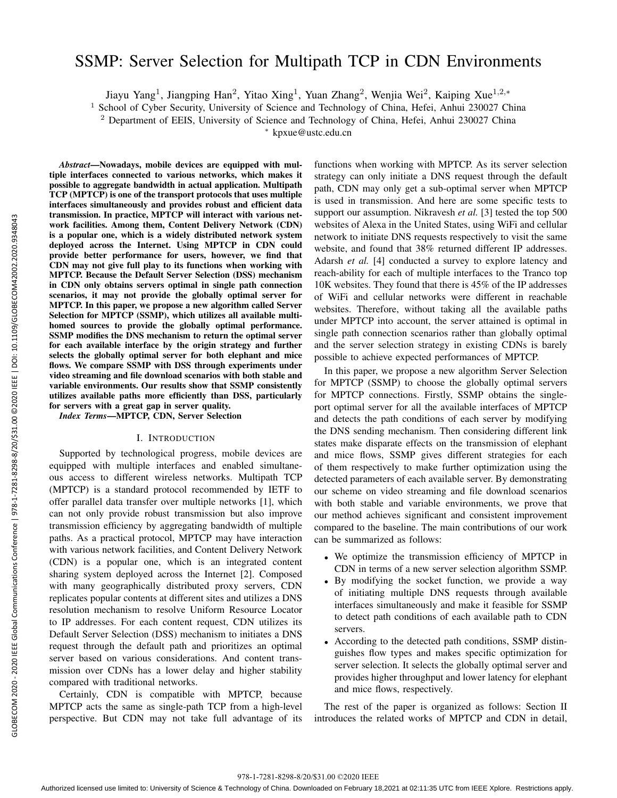# SSMP: Server Selection for Multipath TCP in CDN Environments

Jiayu Yang<sup>1</sup>, Jiangping Han<sup>2</sup>, Yitao Xing<sup>1</sup>, Yuan Zhang<sup>2</sup>, Wenjia Wei<sup>2</sup>, Kaiping Xue<sup>1,2,\*</sup>

<sup>1</sup> School of Cyber Security, University of Science and Technology of China, Hefei, Anhui 230027 China

<sup>2</sup> Department of EEIS, University of Science and Technology of China, Hefei, Anhui 230027 China

*<sup>∗</sup>* kpxue@ustc.edu.cn

*Abstract*—Nowadays, mobile devices are equipped with multiple interfaces connected to various networks, which makes it possible to aggregate bandwidth in actual application. Multipath TCP (MPTCP) is one of the transport protocols that uses multiple interfaces simultaneously and provides robust and efficient data transmission. In practice, MPTCP will interact with various network facilities. Among them, Content Delivery Network (CDN) is a popular one, which is a widely distributed network system deployed across the Internet. Using MPTCP in CDN could provide better performance for users, however, we find that CDN may not give full play to its functions when working with MPTCP. Because the Default Server Selection (DSS) mechanism in CDN only obtains servers optimal in single path connection scenarios, it may not provide the globally optimal server for MPTCP. In this paper, we propose a new algorithm called Server Selection for MPTCP (SSMP), which utilizes all available multihomed sources to provide the globally optimal performance. SSMP modifies the DNS mechanism to return the optimal server for each available interface by the origin strategy and further selects the globally optimal server for both elephant and mice flows. We compare SSMP with DSS through experiments under video streaming and file download scenarios with both stable and variable environments. Our results show that SSMP consistently utilizes available paths more efficiently than DSS, particularly for servers with a great gap in server quality.

*Index Terms*—MPTCP, CDN, Server Selection

# I. INTRODUCTION

Supported by technological progress, mobile devices are equipped with multiple interfaces and enabled simultaneous access to different wireless networks. Multipath TCP (MPTCP) is a standard protocol recommended by IETF to offer parallel data transfer over multiple networks [1], which can not only provide robust transmission but also improve transmission efficiency by aggregating bandwidth of multiple paths. As a practical protocol, MPTCP may have interaction with various network facilities, and Content Delivery Network (CDN) is a popular one, which is an integrated content sharing system deployed across the Internet [2]. Composed with many geographically distributed proxy servers, CDN replicates popular contents at different sites and utilizes a DNS resolution mechanism to resolve Uniform Resource Locator to IP addresses. For each content request, CDN utilizes its Default Server Selection (DSS) mechanism to initiates a DNS request through the default path and prioritizes an optimal server based on various considerations. And content transmission over CDNs has a lower delay and higher stability compared with traditional networks.

Certainly, CDN is compatible with MPTCP, because MPTCP acts the same as single-path TCP from a high-level perspective. But CDN may not take full advantage of its

functions when working with MPTCP. As its server selection strategy can only initiate a DNS request through the default path, CDN may only get a sub-optimal server when MPTCP is used in transmission. And here are some specific tests to support our assumption. Nikravesh *et al.* [3] tested the top 500 websites of Alexa in the United States, using WiFi and cellular network to initiate DNS requests respectively to visit the same website, and found that 38% returned different IP addresses. Adarsh *et al.* [4] conducted a survey to explore latency and reach-ability for each of multiple interfaces to the Tranco top 10K websites. They found that there is 45% of the IP addresses of WiFi and cellular networks were different in reachable websites. Therefore, without taking all the available paths under MPTCP into account, the server attained is optimal in single path connection scenarios rather than globally optimal and the server selection strategy in existing CDNs is barely possible to achieve expected performances of MPTCP.

In this paper, we propose a new algorithm Server Selection for MPTCP (SSMP) to choose the globally optimal servers for MPTCP connections. Firstly, SSMP obtains the singleport optimal server for all the available interfaces of MPTCP and detects the path conditions of each server by modifying the DNS sending mechanism. Then considering different link states make disparate effects on the transmission of elephant and mice flows, SSMP gives different strategies for each of them respectively to make further optimization using the detected parameters of each available server. By demonstrating our scheme on video streaming and file download scenarios with both stable and variable environments, we prove that our method achieves significant and consistent improvement compared to the baseline. The main contributions of our work can be summarized as follows:

- *•* We optimize the transmission efficiency of MPTCP in CDN in terms of a new server selection algorithm SSMP.
- *•* By modifying the socket function, we provide a way of initiating multiple DNS requests through available interfaces simultaneously and make it feasible for SSMP to detect path conditions of each available path to CDN servers.
- *•* According to the detected path conditions, SSMP distinguishes flow types and makes specific optimization for server selection. It selects the globally optimal server and provides higher throughput and lower latency for elephant and mice flows, respectively.

The rest of the paper is organized as follows: Section II introduces the related works of MPTCP and CDN in detail,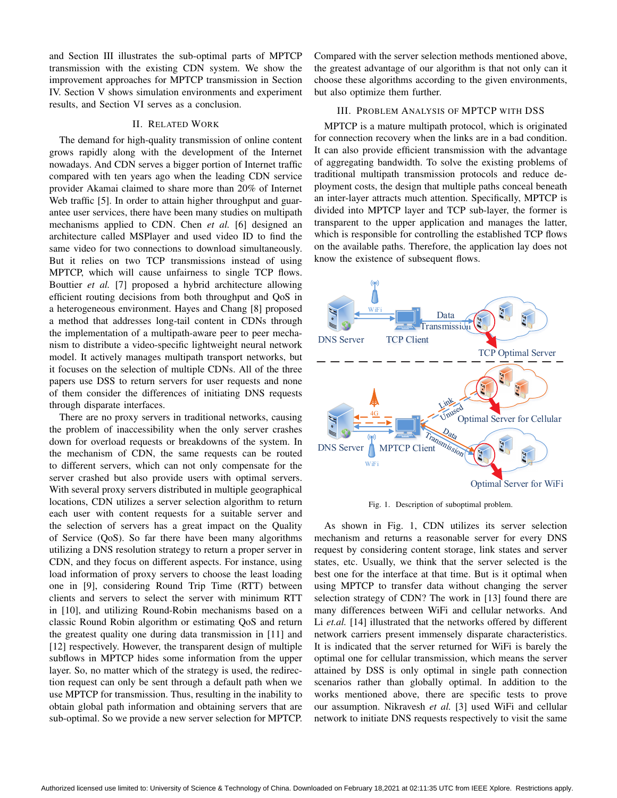and Section III illustrates the sub-optimal parts of MPTCP transmission with the existing CDN system. We show the improvement approaches for MPTCP transmission in Section IV. Section V shows simulation environments and experiment results, and Section VI serves as a conclusion.

## II. RELATED WORK

The demand for high-quality transmission of online content grows rapidly along with the development of the Internet nowadays. And CDN serves a bigger portion of Internet traffic compared with ten years ago when the leading CDN service provider Akamai claimed to share more than 20% of Internet Web traffic [5]. In order to attain higher throughput and guarantee user services, there have been many studies on multipath mechanisms applied to CDN. Chen *et al.* [6] designed an architecture called MSPlayer and used video ID to find the same video for two connections to download simultaneously. But it relies on two TCP transmissions instead of using MPTCP, which will cause unfairness to single TCP flows. Bouttier *et al.* [7] proposed a hybrid architecture allowing efficient routing decisions from both throughput and QoS in a heterogeneous environment. Hayes and Chang [8] proposed a method that addresses long-tail content in CDNs through the implementation of a multipath-aware peer to peer mechanism to distribute a video-specific lightweight neural network model. It actively manages multipath transport networks, but it focuses on the selection of multiple CDNs. All of the three papers use DSS to return servers for user requests and none of them consider the differences of initiating DNS requests through disparate interfaces.

There are no proxy servers in traditional networks, causing the problem of inaccessibility when the only server crashes down for overload requests or breakdowns of the system. In the mechanism of CDN, the same requests can be routed to different servers, which can not only compensate for the server crashed but also provide users with optimal servers. With several proxy servers distributed in multiple geographical locations, CDN utilizes a server selection algorithm to return each user with content requests for a suitable server and the selection of servers has a great impact on the Quality of Service (QoS). So far there have been many algorithms utilizing a DNS resolution strategy to return a proper server in CDN, and they focus on different aspects. For instance, using load information of proxy servers to choose the least loading one in [9], considering Round Trip Time (RTT) between clients and servers to select the server with minimum RTT in [10], and utilizing Round-Robin mechanisms based on a classic Round Robin algorithm or estimating QoS and return the greatest quality one during data transmission in [11] and [12] respectively. However, the transparent design of multiple subflows in MPTCP hides some information from the upper layer. So, no matter which of the strategy is used, the redirection request can only be sent through a default path when we use MPTCP for transmission. Thus, resulting in the inability to obtain global path information and obtaining servers that are sub-optimal. So we provide a new server selection for MPTCP.

Compared with the server selection methods mentioned above, the greatest advantage of our algorithm is that not only can it choose these algorithms according to the given environments, but also optimize them further.

### III. PROBLEM ANALYSIS OF MPTCP WITH DSS

MPTCP is a mature multipath protocol, which is originated for connection recovery when the links are in a bad condition. It can also provide efficient transmission with the advantage of aggregating bandwidth. To solve the existing problems of traditional multipath transmission protocols and reduce deployment costs, the design that multiple paths conceal beneath an inter-layer attracts much attention. Specifically, MPTCP is divided into MPTCP layer and TCP sub-layer, the former is transparent to the upper application and manages the latter, which is responsible for controlling the established TCP flows on the available paths. Therefore, the application lay does not know the existence of subsequent flows.



Fig. 1. Description of suboptimal problem.

As shown in Fig. 1, CDN utilizes its server selection mechanism and returns a reasonable server for every DNS request by considering content storage, link states and server states, etc. Usually, we think that the server selected is the best one for the interface at that time. But is it optimal when using MPTCP to transfer data without changing the server selection strategy of CDN? The work in [13] found there are many differences between WiFi and cellular networks. And Li *et.al.* [14] illustrated that the networks offered by different network carriers present immensely disparate characteristics. It is indicated that the server returned for WiFi is barely the optimal one for cellular transmission, which means the server attained by DSS is only optimal in single path connection scenarios rather than globally optimal. In addition to the works mentioned above, there are specific tests to prove our assumption. Nikravesh *et al.* [3] used WiFi and cellular network to initiate DNS requests respectively to visit the same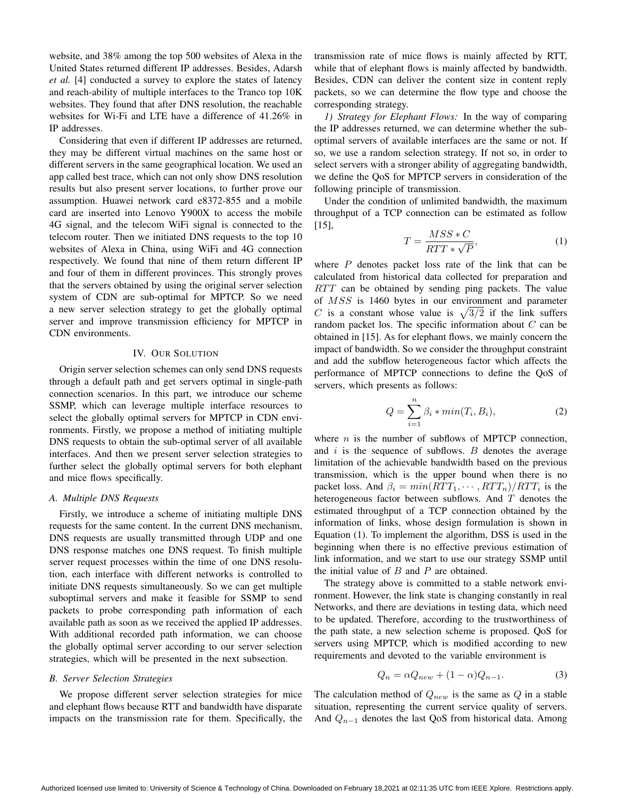website, and 38% among the top 500 websites of Alexa in the United States returned different IP addresses. Besides, Adarsh *et al.* [4] conducted a survey to explore the states of latency and reach-ability of multiple interfaces to the Tranco top 10K websites. They found that after DNS resolution, the reachable websites for Wi-Fi and LTE have a difference of 41.26% in IP addresses.

Considering that even if different IP addresses are returned, they may be different virtual machines on the same host or different servers in the same geographical location. We used an app called best trace, which can not only show DNS resolution results but also present server locations, to further prove our assumption. Huawei network card e8372-855 and a mobile card are inserted into Lenovo Y900X to access the mobile 4G signal, and the telecom WiFi signal is connected to the telecom router. Then we initiated DNS requests to the top 10 websites of Alexa in China, using WiFi and 4G connection respectively. We found that nine of them return different IP and four of them in different provinces. This strongly proves that the servers obtained by using the original server selection system of CDN are sub-optimal for MPTCP. So we need a new server selection strategy to get the globally optimal server and improve transmission efficiency for MPTCP in CDN environments.

## IV. OUR SOLUTION

Origin server selection schemes can only send DNS requests through a default path and get servers optimal in single-path connection scenarios. In this part, we introduce our scheme SSMP, which can leverage multiple interface resources to select the globally optimal servers for MPTCP in CDN environments. Firstly, we propose a method of initiating multiple DNS requests to obtain the sub-optimal server of all available interfaces. And then we present server selection strategies to further select the globally optimal servers for both elephant and mice flows specifically.

# *A. Multiple DNS Requests*

Firstly, we introduce a scheme of initiating multiple DNS requests for the same content. In the current DNS mechanism, DNS requests are usually transmitted through UDP and one DNS response matches one DNS request. To finish multiple server request processes within the time of one DNS resolution, each interface with different networks is controlled to initiate DNS requests simultaneously. So we can get multiple suboptimal servers and make it feasible for SSMP to send packets to probe corresponding path information of each available path as soon as we received the applied IP addresses. With additional recorded path information, we can choose the globally optimal server according to our server selection strategies, which will be presented in the next subsection.

#### *B. Server Selection Strategies*

We propose different server selection strategies for mice and elephant flows because RTT and bandwidth have disparate impacts on the transmission rate for them. Specifically, the transmission rate of mice flows is mainly affected by RTT, while that of elephant flows is mainly affected by bandwidth. Besides, CDN can deliver the content size in content reply packets, so we can determine the flow type and choose the corresponding strategy.

*1) Strategy for Elephant Flows:* In the way of comparing the IP addresses returned, we can determine whether the suboptimal servers of available interfaces are the same or not. If so, we use a random selection strategy. If not so, in order to select servers with a stronger ability of aggregating bandwidth, we define the QoS for MPTCP servers in consideration of the following principle of transmission.

Under the condition of unlimited bandwidth, the maximum throughput of a TCP connection can be estimated as follow [15],

$$
T = \frac{MSS*C}{RTT * \sqrt{P}},\tag{1}
$$

where *P* denotes packet loss rate of the link that can be calculated from historical data collected for preparation and *RTT* can be obtained by sending ping packets. The value of *MSS* is 1460 bytes in our environment and parameter *C* is a constant whose value is  $\sqrt{3/2}$  if the link suffers random packet los. The specific information about *C* can be obtained in [15]. As for elephant flows, we mainly concern the impact of bandwidth. So we consider the throughput constraint and add the subflow heterogeneous factor which affects the performance of MPTCP connections to define the QoS of servers, which presents as follows:

$$
Q = \sum_{i=1}^{n} \beta_i * min(T_i, B_i), \qquad (2)
$$

where *n* is the number of subflows of MPTCP connection, and *i* is the sequence of subflows. *B* denotes the average limitation of the achievable bandwidth based on the previous transmission, which is the upper bound when there is no packet loss. And  $\beta_i = min(RTT_1, \cdots, RTT_n)/RTT_i$  is the heterogeneous factor between subflows. And *T* denotes the estimated throughput of a TCP connection obtained by the information of links, whose design formulation is shown in Equation (1). To implement the algorithm, DSS is used in the beginning when there is no effective previous estimation of link information, and we start to use our strategy SSMP until the initial value of *B* and *P* are obtained.

The strategy above is committed to a stable network environment. However, the link state is changing constantly in real Networks, and there are deviations in testing data, which need to be updated. Therefore, according to the trustworthiness of the path state, a new selection scheme is proposed. QoS for servers using MPTCP, which is modified according to new requirements and devoted to the variable environment is

$$
Q_n = \alpha Q_{new} + (1 - \alpha)Q_{n-1}.
$$
 (3)

The calculation method of *Qnew* is the same as *Q* in a stable situation, representing the current service quality of servers. And *Q<sup>n</sup>−*<sup>1</sup> denotes the last QoS from historical data. Among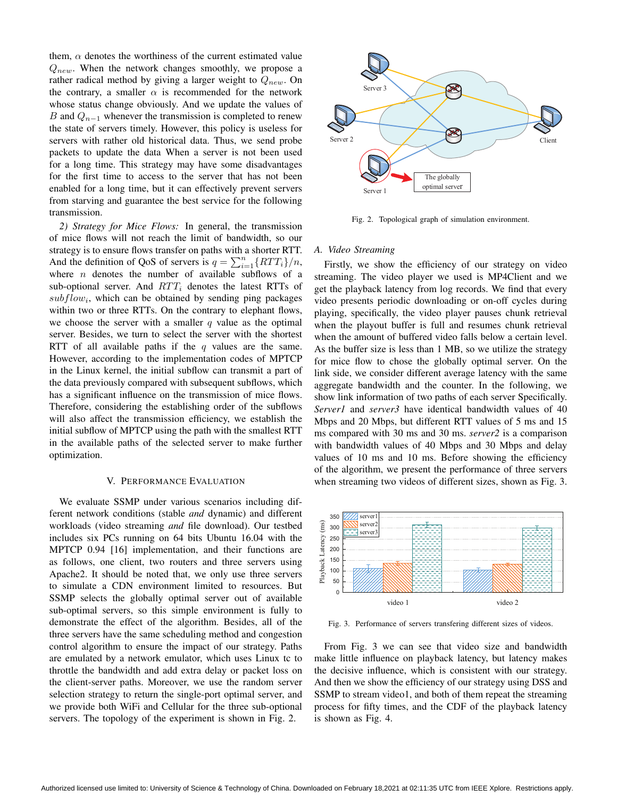them,  $\alpha$  denotes the worthiness of the current estimated value *Qnew*. When the network changes smoothly, we propose a rather radical method by giving a larger weight to *Qnew*. On the contrary, a smaller  $\alpha$  is recommended for the network whose status change obviously. And we update the values of *B* and  $Q$ <sub>*n*−1</sub> whenever the transmission is completed to renew the state of servers timely. However, this policy is useless for servers with rather old historical data. Thus, we send probe packets to update the data When a server is not been used for a long time. This strategy may have some disadvantages for the first time to access to the server that has not been enabled for a long time, but it can effectively prevent servers from starving and guarantee the best service for the following transmission.

*2) Strategy for Mice Flows:* In general, the transmission of mice flows will not reach the limit of bandwidth, so our strategy is to ensure flows transfer on paths with a shorter RTT. And the definition of QoS of servers is  $q = \sum_{i=1}^{n} \{RTT_i\}/n$ , where *n* denotes the number of available subflows of a sub-optional server. And  $RTT_i$  denotes the latest RTTs of  $subflow<sub>i</sub>$ , which can be obtained by sending ping packages within two or three RTTs. On the contrary to elephant flows, we choose the server with a smaller *q* value as the optimal server. Besides, we turn to select the server with the shortest RTT of all available paths if the *q* values are the same. However, according to the implementation codes of MPTCP in the Linux kernel, the initial subflow can transmit a part of the data previously compared with subsequent subflows, which has a significant influence on the transmission of mice flows. Therefore, considering the establishing order of the subflows will also affect the transmission efficiency, we establish the initial subflow of MPTCP using the path with the smallest RTT in the available paths of the selected server to make further optimization.

#### V. PERFORMANCE EVALUATION

We evaluate SSMP under various scenarios including different network conditions (stable *and* dynamic) and different workloads (video streaming *and* file download). Our testbed includes six PCs running on 64 bits Ubuntu 16.04 with the MPTCP 0.94 [16] implementation, and their functions are as follows, one client, two routers and three servers using Apache2. It should be noted that, we only use three servers to simulate a CDN environment limited to resources. But SSMP selects the globally optimal server out of available sub-optimal servers, so this simple environment is fully to demonstrate the effect of the algorithm. Besides, all of the three servers have the same scheduling method and congestion control algorithm to ensure the impact of our strategy. Paths are emulated by a network emulator, which uses Linux tc to throttle the bandwidth and add extra delay or packet loss on the client-server paths. Moreover, we use the random server selection strategy to return the single-port optimal server, and we provide both WiFi and Cellular for the three sub-optional servers. The topology of the experiment is shown in Fig. 2.



Fig. 2. Topological graph of simulation environment.

## *A. Video Streaming*

Firstly, we show the efficiency of our strategy on video streaming. The video player we used is MP4Client and we get the playback latency from log records. We find that every video presents periodic downloading or on-off cycles during playing, specifically, the video player pauses chunk retrieval when the playout buffer is full and resumes chunk retrieval when the amount of buffered video falls below a certain level. As the buffer size is less than 1 MB, so we utilize the strategy for mice flow to chose the globally optimal server. On the link side, we consider different average latency with the same aggregate bandwidth and the counter. In the following, we show link information of two paths of each server Specifically. *Server1* and *server3* have identical bandwidth values of 40 Mbps and 20 Mbps, but different RTT values of 5 ms and 15 ms compared with 30 ms and 30 ms. *server2* is a comparison with bandwidth values of 40 Mbps and 30 Mbps and delay values of 10 ms and 10 ms. Before showing the efficiency of the algorithm, we present the performance of three servers when streaming two videos of different sizes, shown as Fig. 3.



Fig. 3. Performance of servers transfering different sizes of videos.

From Fig. 3 we can see that video size and bandwidth make little influence on playback latency, but latency makes the decisive influence, which is consistent with our strategy. And then we show the efficiency of our strategy using DSS and SSMP to stream video1, and both of them repeat the streaming process for fifty times, and the CDF of the playback latency is shown as Fig. 4.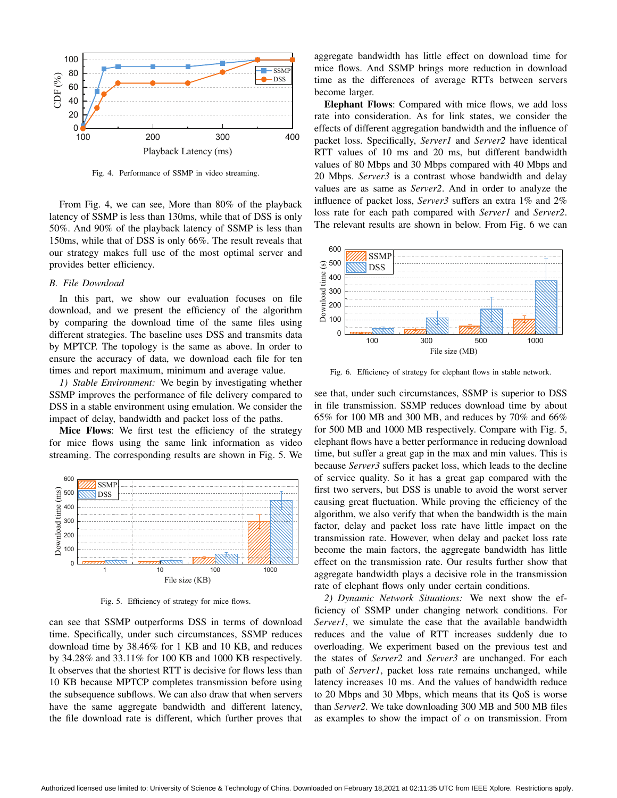

Fig. 4. Performance of SSMP in video streaming.

From Fig. 4, we can see, More than 80% of the playback latency of SSMP is less than 130ms, while that of DSS is only 50%. And 90% of the playback latency of SSMP is less than 150ms, while that of DSS is only 66%. The result reveals that our strategy makes full use of the most optimal server and provides better efficiency.

# *B. File Download*

In this part, we show our evaluation focuses on file download, and we present the efficiency of the algorithm by comparing the download time of the same files using different strategies. The baseline uses DSS and transmits data by MPTCP. The topology is the same as above. In order to ensure the accuracy of data, we download each file for ten times and report maximum, minimum and average value.

*1) Stable Environment:* We begin by investigating whether SSMP improves the performance of file delivery compared to DSS in a stable environment using emulation. We consider the impact of delay, bandwidth and packet loss of the paths.

Mice Flows: We first test the efficiency of the strategy for mice flows using the same link information as video streaming. The corresponding results are shown in Fig. 5. We



Fig. 5. Efficiency of strategy for mice flows.

can see that SSMP outperforms DSS in terms of download time. Specifically, under such circumstances, SSMP reduces download time by 38.46% for 1 KB and 10 KB, and reduces by 34.28% and 33.11% for 100 KB and 1000 KB respectively. It observes that the shortest RTT is decisive for flows less than 10 KB because MPTCP completes transmission before using the subsequence subflows. We can also draw that when servers have the same aggregate bandwidth and different latency, the file download rate is different, which further proves that

aggregate bandwidth has little effect on download time for mice flows. And SSMP brings more reduction in download time as the differences of average RTTs between servers become larger.

Elephant Flows: Compared with mice flows, we add loss rate into consideration. As for link states, we consider the effects of different aggregation bandwidth and the influence of packet loss. Specifically, *Server1* and *Server2* have identical RTT values of 10 ms and 20 ms, but different bandwidth values of 80 Mbps and 30 Mbps compared with 40 Mbps and 20 Mbps. *Server3* is a contrast whose bandwidth and delay values are as same as *Server2*. And in order to analyze the influence of packet loss, *Server3* suffers an extra 1% and 2% loss rate for each path compared with *Server1* and *Server2*. The relevant results are shown in below. From Fig. 6 we can



Fig. 6. Efficiency of strategy for elephant flows in stable network.

see that, under such circumstances, SSMP is superior to DSS in file transmission. SSMP reduces download time by about 65% for 100 MB and 300 MB, and reduces by 70% and 66% for 500 MB and 1000 MB respectively. Compare with Fig. 5, elephant flows have a better performance in reducing download time, but suffer a great gap in the max and min values. This is because *Server3* suffers packet loss, which leads to the decline of service quality. So it has a great gap compared with the first two servers, but DSS is unable to avoid the worst server causing great fluctuation. While proving the efficiency of the algorithm, we also verify that when the bandwidth is the main factor, delay and packet loss rate have little impact on the transmission rate. However, when delay and packet loss rate become the main factors, the aggregate bandwidth has little effect on the transmission rate. Our results further show that aggregate bandwidth plays a decisive role in the transmission rate of elephant flows only under certain conditions.

*2) Dynamic Network Situations:* We next show the efficiency of SSMP under changing network conditions. For *Server1*, we simulate the case that the available bandwidth reduces and the value of RTT increases suddenly due to overloading. We experiment based on the previous test and the states of *Server2* and *Server3* are unchanged. For each path of *Server1*, packet loss rate remains unchanged, while latency increases 10 ms. And the values of bandwidth reduce to 20 Mbps and 30 Mbps, which means that its QoS is worse than *Server2*. We take downloading 300 MB and 500 MB files as examples to show the impact of  $\alpha$  on transmission. From